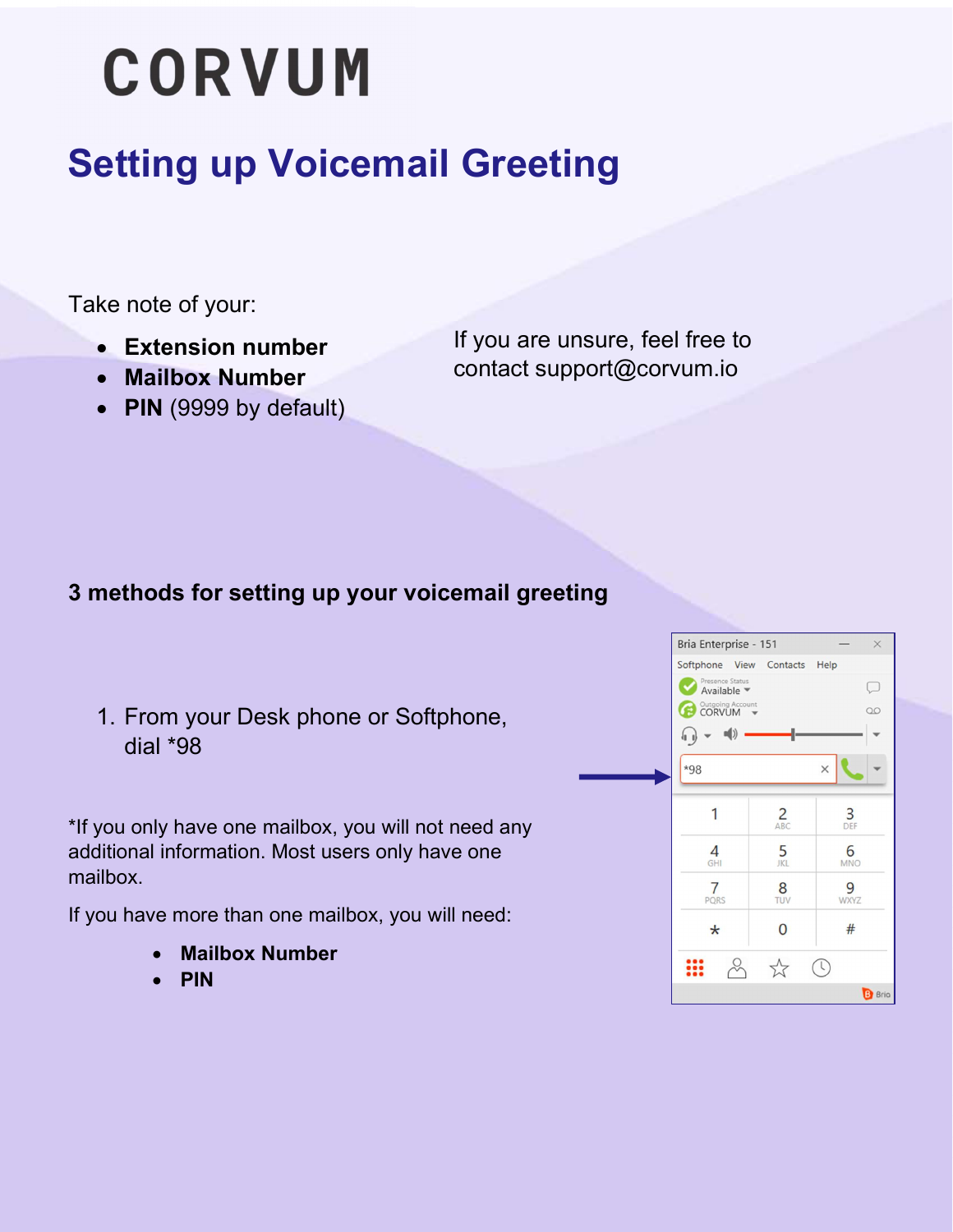# **CORVUM**

### Setting up Voicemail Greeting

Take note of your:

- Extension number
- Mailbox Number
- PIN (9999 by default)

If you are unsure, feel free to contact support@corvum.io

### 3 methods for setting up your voicemail greeting

1. From your Desk phone or Softphone, dial \*98

\*If you only have one mailbox, you will not need any additional information. Most users only have one mailbox.

If you have more than one mailbox, you will need:

- Mailbox Number
- PIN

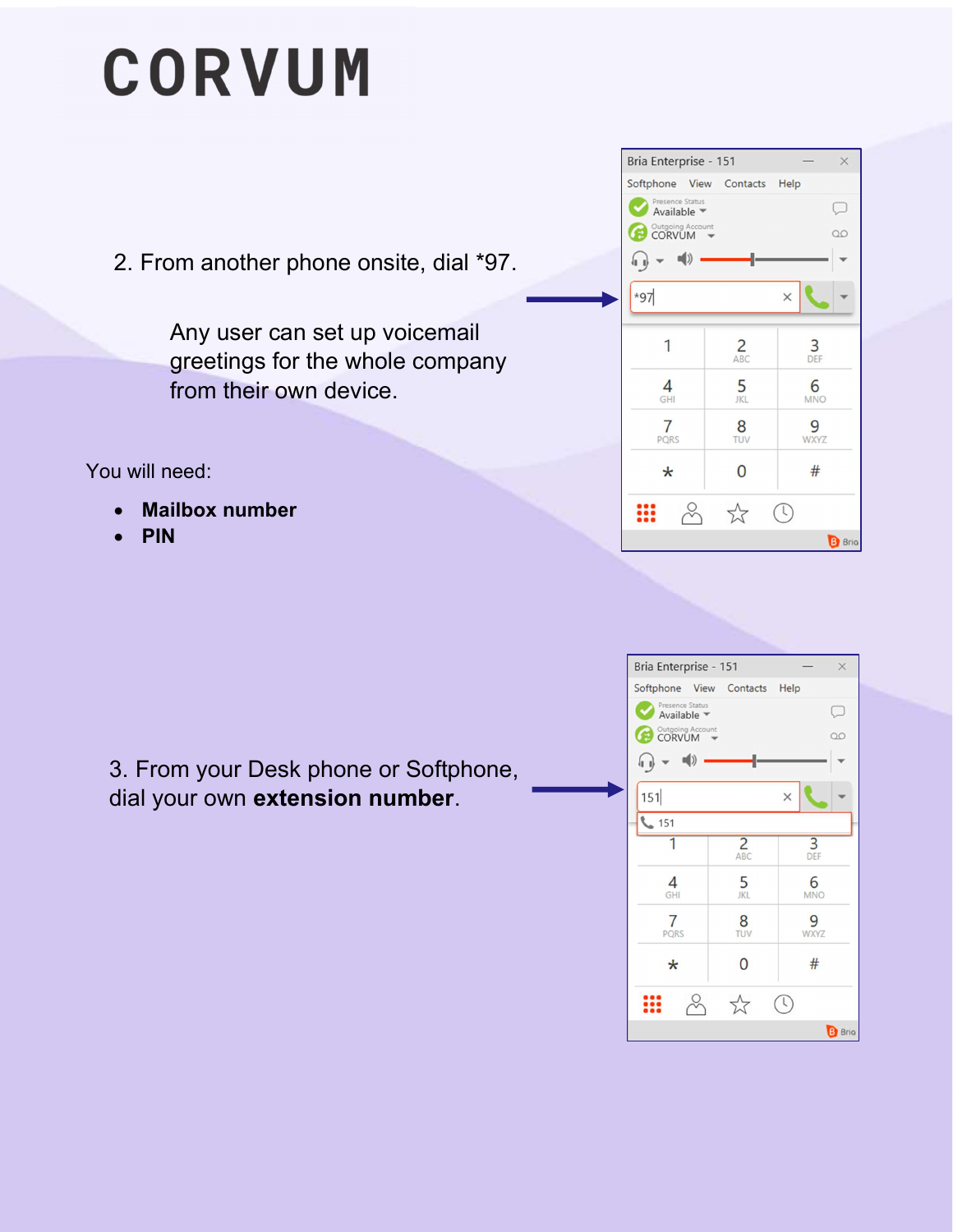# **CORVUM**

2. From another phone onsite, dial \*97.

Any user can set up voicemail greetings for the whole company from their own device.

You will need:

- Mailbox number
- PIN



3. From your Desk phone or Softphone, dial your own extension number.